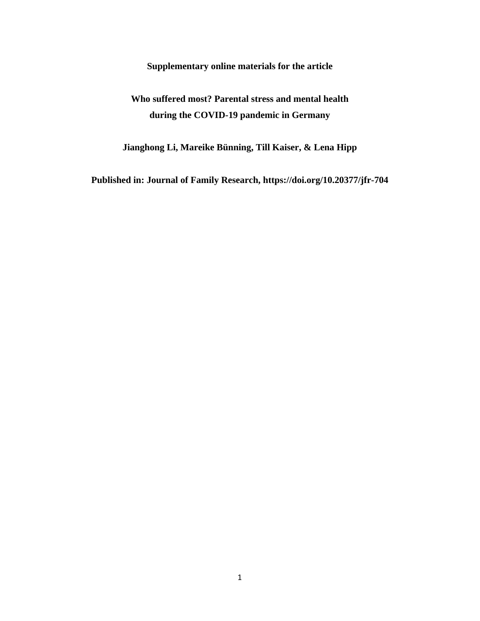**Supplementary online materials for the article**

## **Who suffered most? Parental stress and mental health during the COVID-19 pandemic in Germany**

**Jianghong Li, Mareike Bünning, Till Kaiser, & Lena Hipp**

**Published in: Journal of Family Research, https://doi.org/10.20377/jfr-704**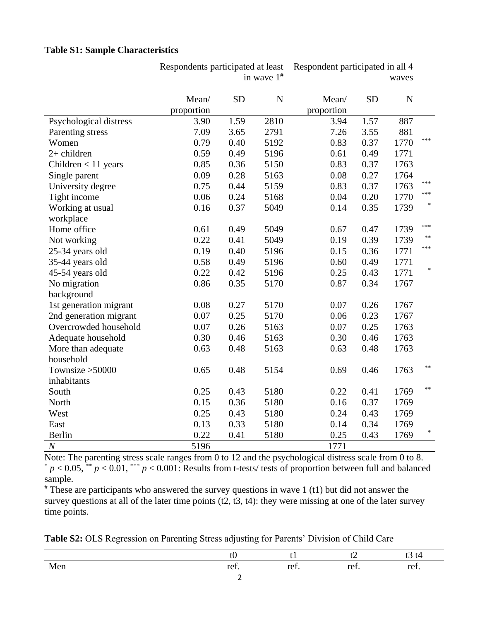|                        | Respondents participated at least<br>in wave $1^{\#}$ |           |             | Respondent participated in all 4<br>waves |           |             |                                   |
|------------------------|-------------------------------------------------------|-----------|-------------|-------------------------------------------|-----------|-------------|-----------------------------------|
|                        | Mean/<br>proportion                                   | <b>SD</b> | $\mathbf N$ | Mean/<br>proportion                       | <b>SD</b> | $\mathbf N$ |                                   |
| Psychological distress | 3.90                                                  | 1.59      | 2810        | 3.94                                      | 1.57      | 887         |                                   |
| Parenting stress       | 7.09                                                  | 3.65      | 2791        | 7.26                                      | 3.55      | 881         |                                   |
| Women                  | 0.79                                                  | 0.40      | 5192        | 0.83                                      | 0.37      | 1770        | ***                               |
| $2+$ children          | 0.59                                                  | 0.49      | 5196        | 0.61                                      | 0.49      | 1771        |                                   |
| Children $<$ 11 years  | 0.85                                                  | 0.36      | 5150        | 0.83                                      | 0.37      | 1763        |                                   |
| Single parent          | 0.09                                                  | 0.28      | 5163        | 0.08                                      | 0.27      | 1764        |                                   |
| University degree      | 0.75                                                  | 0.44      | 5159        | 0.83                                      | 0.37      | 1763        | ***                               |
| Tight income           | 0.06                                                  | 0.24      | 5168        | 0.04                                      | 0.20      | 1770        | ***                               |
| Working at usual       | 0.16                                                  | 0.37      | 5049        | 0.14                                      | 0.35      | 1739        |                                   |
| workplace              |                                                       |           |             |                                           |           |             |                                   |
| Home office            | 0.61                                                  | 0.49      | 5049        | 0.67                                      | 0.47      | 1739        | ***                               |
| Not working            | 0.22                                                  | 0.41      | 5049        | 0.19                                      | 0.39      | 1739        | $\ast$                            |
| 25-34 years old        | 0.19                                                  | 0.40      | 5196        | 0.15                                      | 0.36      | 1771        | ***                               |
| 35-44 years old        | 0.58                                                  | 0.49      | 5196        | 0.60                                      | 0.49      | 1771        |                                   |
| 45-54 years old        | 0.22                                                  | 0.42      | 5196        | 0.25                                      | 0.43      | 1771        | $\frac{d\mathbf{r}}{d\mathbf{r}}$ |
| No migration           | 0.86                                                  | 0.35      | 5170        | 0.87                                      | 0.34      | 1767        |                                   |
| background             |                                                       |           |             |                                           |           |             |                                   |
| 1st generation migrant | 0.08                                                  | 0.27      | 5170        | 0.07                                      | 0.26      | 1767        |                                   |
| 2nd generation migrant | 0.07                                                  | 0.25      | 5170        | 0.06                                      | 0.23      | 1767        |                                   |
| Overcrowded household  | 0.07                                                  | 0.26      | 5163        | 0.07                                      | 0.25      | 1763        |                                   |
| Adequate household     | 0.30                                                  | 0.46      | 5163        | 0.30                                      | 0.46      | 1763        |                                   |
| More than adequate     | 0.63                                                  | 0.48      | 5163        | 0.63                                      | 0.48      | 1763        |                                   |
| household              |                                                       |           |             |                                           |           |             |                                   |
| Townsize $>50000$      | 0.65                                                  | 0.48      | 5154        | 0.69                                      | 0.46      | 1763        | $\ast$                            |
| inhabitants            |                                                       |           |             |                                           |           |             |                                   |
| South                  | 0.25                                                  | 0.43      | 5180        | 0.22                                      | 0.41      | 1769        | $\ast$                            |
| North                  | 0.15                                                  | 0.36      | 5180        | 0.16                                      | 0.37      | 1769        |                                   |
| West                   | 0.25                                                  | 0.43      | 5180        | 0.24                                      | 0.43      | 1769        |                                   |
| East                   | 0.13                                                  | 0.33      | 5180        | 0.14                                      | 0.34      | 1769        |                                   |
| Berlin                 | 0.22                                                  | 0.41      | 5180        | 0.25                                      | 0.43      | 1769        | $\frac{d\mathbf{r}}{dt}$          |
| $\boldsymbol{N}$       | 5196                                                  |           |             | 1771                                      |           |             |                                   |

|  |  | <b>Table S1: Sample Characteristics</b> |
|--|--|-----------------------------------------|
|--|--|-----------------------------------------|

Note: The parenting stress scale ranges from 0 to 12 and the psychological distress scale from 0 to 8.  $p < 0.05$ , \*\*  $p < 0.01$ , \*\*\*  $p < 0.001$ . Results from t-tests/ tests of proportion between full and balanced sample.

 $*$  These are participants who answered the survey questions in wave 1 (t1) but did not answer the survey questions at all of the later time points  $(1, 1, 3, 14)$ : they were missing at one of the later survey time points.

**Table S2:** OLS Regression on Parenting Stress adjusting for Parents' Division of Child Care

|                              |      | . .            |      | ĽТ<br>ັ        |
|------------------------------|------|----------------|------|----------------|
| M<br>$\sim$<br><b>IAICII</b> | ref. | $\sim$<br>ref. | ref. | $\sim$<br>ref. |
|                              |      |                |      |                |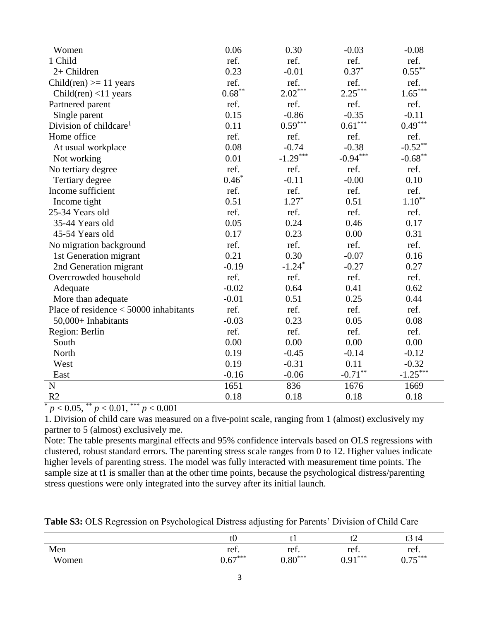| Women                                    | 0.06      | 0.30                  | $-0.03$               | $-0.08$           |
|------------------------------------------|-----------|-----------------------|-----------------------|-------------------|
| 1 Child                                  | ref.      | ref.                  | ref.                  | ref.              |
| 2+ Children                              | 0.23      | $-0.01$               | $0.37*$               | $0.55^{\ast\ast}$ |
| Child(ren) $>= 11$ years                 | ref.      | ref.                  | ref.                  | ref.              |
| Child(ren) $<$ 11 years                  | $0.68***$ | $2.02***$             | $2.25***$             | $1.65***$         |
| Partnered parent                         | ref.      | ref.                  | ref.                  | ref.              |
| Single parent                            | 0.15      | $-0.86$               | $-0.35$               | $-0.11$           |
| Division of childcare <sup>1</sup>       | 0.11      | $0.59^{\ast\ast\ast}$ | $0.61^{\ast\ast\ast}$ | $0.49***$         |
| Home office                              | ref.      | ref.                  | ref.                  | ref.              |
| At usual workplace                       | 0.08      | $-0.74$               | $-0.38$               | $-0.52***$        |
| Not working                              | 0.01      | $-1.29***$            | $-0.94***$            | $-0.68***$        |
| No tertiary degree                       | ref.      | ref.                  | ref.                  | ref.              |
| Tertiary degree                          | $0.46*$   | $-0.11$               | $-0.00$               | 0.10              |
| Income sufficient                        | ref.      | ref.                  | ref.                  | ref.              |
| Income tight                             | 0.51      | $1.27*$               | 0.51                  | $1.10^{\ast\ast}$ |
| 25-34 Years old                          | ref.      | ref.                  | ref.                  | ref.              |
| 35-44 Years old                          | 0.05      | 0.24                  | 0.46                  | 0.17              |
| 45-54 Years old                          | 0.17      | 0.23                  | 0.00                  | 0.31              |
| No migration background                  | ref.      | ref.                  | ref.                  | ref.              |
| 1st Generation migrant                   | 0.21      | 0.30                  | $-0.07$               | 0.16              |
| 2nd Generation migrant                   | $-0.19$   | $-1.24$ <sup>*</sup>  | $-0.27$               | 0.27              |
| Overcrowded household                    | ref.      | ref.                  | ref.                  | ref.              |
| Adequate                                 | $-0.02$   | 0.64                  | 0.41                  | 0.62              |
| More than adequate                       | $-0.01$   | 0.51                  | 0.25                  | 0.44              |
| Place of residence $<$ 50000 inhabitants | ref.      | ref.                  | ref.                  | ref.              |
| 50,000+ Inhabitants                      | $-0.03$   | 0.23                  | 0.05                  | 0.08              |
| Region: Berlin                           | ref.      | ref.                  | ref.                  | ref.              |
| South                                    | 0.00      | 0.00                  | 0.00                  | 0.00              |
| North                                    | 0.19      | $-0.45$               | $-0.14$               | $-0.12$           |
| West                                     | 0.19      | $-0.31$               | 0.11                  | $-0.32$           |
| East                                     | $-0.16$   | $-0.06$               | $-0.71$ **            | $-1.25***$        |
| $\mathbf N$                              | 1651      | 836                   | 1676                  | 1669              |
| R <sub>2</sub>                           | 0.18      | 0.18                  | 0.18                  | 0.18              |

\* *p* < 0.05, \*\* *p* < 0.01, \*\*\* *p* < 0.001

1. Division of child care was measured on a five-point scale, ranging from 1 (almost) exclusively my partner to 5 (almost) exclusively me.

Note: The table presents marginal effects and 95% confidence intervals based on OLS regressions with clustered, robust standard errors. The parenting stress scale ranges from 0 to 12. Higher values indicate higher levels of parenting stress. The model was fully interacted with measurement time points. The sample size at t1 is smaller than at the other time points, because the psychological distress/parenting stress questions were only integrated into the survey after its initial launch.

**Table S3:** OLS Regression on Psychological Distress adjusting for Parents' Division of Child Care

|       | w                                           | t 1                   | ີ                 | 3t4<br>ເວ         |
|-------|---------------------------------------------|-----------------------|-------------------|-------------------|
| Men   | ref.                                        | ref.                  | ref.              | ref.              |
| Women | $\mathcal{L}$ $\mathcal{L}$ ***<br>∽<br>v.v | $0.80^{\ast\ast\ast}$ | $0.91***$<br>0.71 | $75***$<br>v. 7 J |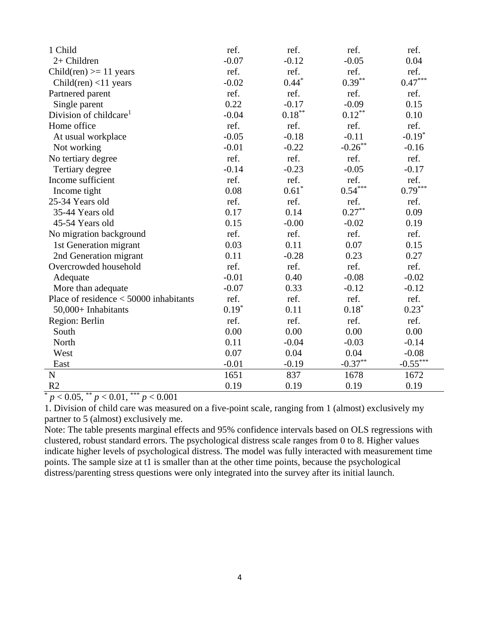| 1 Child                                  | ref.    | ref.      | ref.                        | ref.       |
|------------------------------------------|---------|-----------|-----------------------------|------------|
| 2+ Children                              | $-0.07$ | $-0.12$   | $-0.05$                     | 0.04       |
| Child(ren) $>= 11$ years                 | ref.    | ref.      | ref.                        | ref.       |
| Child(ren) <11 years                     | $-0.02$ | $0.44*$   | $0.39***$                   | $0.47***$  |
| Partnered parent                         | ref.    | ref.      | ref.                        | ref.       |
| Single parent                            | 0.22    | $-0.17$   | $-0.09$                     | 0.15       |
| Division of childcare <sup>1</sup>       | $-0.04$ | $0.18***$ | $0.12***$                   | 0.10       |
| Home office                              | ref.    | ref.      | ref.                        | ref.       |
| At usual workplace                       | $-0.05$ | $-0.18$   | $-0.11$                     | $-0.19*$   |
| Not working                              | $-0.01$ | $-0.22$   | $\textbf{-0.26}^{\ast\ast}$ | $-0.16$    |
| No tertiary degree                       | ref.    | ref.      | ref.                        | ref.       |
| Tertiary degree                          | $-0.14$ | $-0.23$   | $-0.05$                     | $-0.17$    |
| Income sufficient                        | ref.    | ref.      | ref.                        | ref.       |
| Income tight                             | 0.08    | $0.61*$   | $0.54^{\ast\ast\ast}$       | $0.79***$  |
| 25-34 Years old                          | ref.    | ref.      | ref.                        | ref.       |
| 35-44 Years old                          | 0.17    | 0.14      | $0.27***$                   | 0.09       |
| 45-54 Years old                          | 0.15    | $-0.00$   | $-0.02$                     | 0.19       |
| No migration background                  | ref.    | ref.      | ref.                        | ref.       |
| 1st Generation migrant                   | 0.03    | 0.11      | 0.07                        | 0.15       |
| 2nd Generation migrant                   | 0.11    | $-0.28$   | 0.23                        | 0.27       |
| Overcrowded household                    | ref.    | ref.      | ref.                        | ref.       |
| Adequate                                 | $-0.01$ | 0.40      | $-0.08$                     | $-0.02$    |
| More than adequate                       | $-0.07$ | 0.33      | $-0.12$                     | $-0.12$    |
| Place of residence $<$ 50000 inhabitants | ref.    | ref.      | ref.                        | ref.       |
| 50,000+ Inhabitants                      | $0.19*$ | 0.11      | $0.18*$                     | $0.23*$    |
| Region: Berlin                           | ref.    | ref.      | ref.                        | ref.       |
| South                                    | 0.00    | 0.00      | 0.00                        | 0.00       |
| North                                    | 0.11    | $-0.04$   | $-0.03$                     | $-0.14$    |
| West                                     | 0.07    | 0.04      | 0.04                        | $-0.08$    |
| East                                     | $-0.01$ | $-0.19$   | $-0.37**$                   | $-0.55***$ |
| $\mathbf N$                              | 1651    | 837       | 1678                        | 1672       |
| R <sub>2</sub><br>安全安                    | 0.19    | 0.19      | 0.19                        | 0.19       |

 $\frac{p}{p}$  < 0.05, \*\* *p* < 0.01, \*\*\* *p* < 0.001

1. Division of child care was measured on a five-point scale, ranging from 1 (almost) exclusively my partner to 5 (almost) exclusively me.

Note: The table presents marginal effects and 95% confidence intervals based on OLS regressions with clustered, robust standard errors. The psychological distress scale ranges from 0 to 8. Higher values indicate higher levels of psychological distress. The model was fully interacted with measurement time points. The sample size at t1 is smaller than at the other time points, because the psychological distress/parenting stress questions were only integrated into the survey after its initial launch.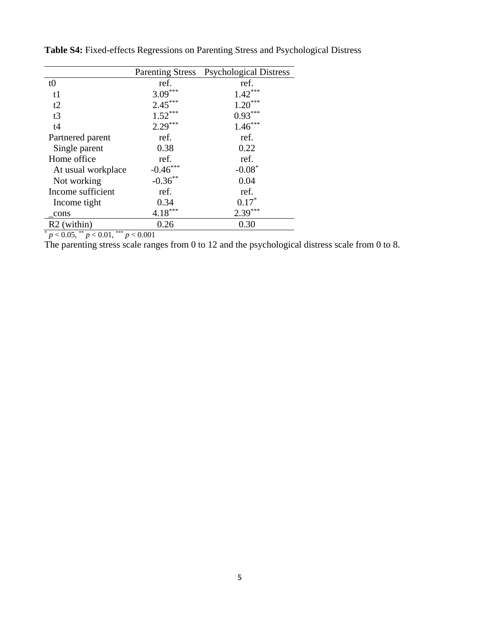|                    |                                 | Parenting Stress Psychological Distress |
|--------------------|---------------------------------|-----------------------------------------|
|                    |                                 |                                         |
| t0                 | ref.                            | ref.                                    |
| t1                 | $3.09***$                       | $1.42***$                               |
| t2                 | $2.45***$                       | $1.20***$                               |
| t3                 | $1.52***$                       | $0.93***$                               |
| t4                 | $2.29***$                       | $1.46***$                               |
| Partnered parent   | ref.                            | ref.                                    |
| Single parent      | 0.38                            | 0.22                                    |
| Home office        | ref.                            | ref.                                    |
| At usual workplace | $-0.46$ ***                     | $-0.08*$                                |
| Not working        | $-0.36***$                      | 0.04                                    |
| Income sufficient  | ref.                            | ref.                                    |
| Income tight       | 0.34                            | $0.17*$                                 |
| cons               | $\frac{4.18^{***}}{4.18^{***}}$ | $2.39***$                               |
| $R2$ (within)      | 0.26                            | 0.30                                    |

**Table S4:** Fixed-effects Regressions on Parenting Stress and Psychological Distress

\* *p* < 0.05, \*\* *p* < 0.01, \*\*\* *p* < 0.001

The parenting stress scale ranges from 0 to 12 and the psychological distress scale from 0 to 8.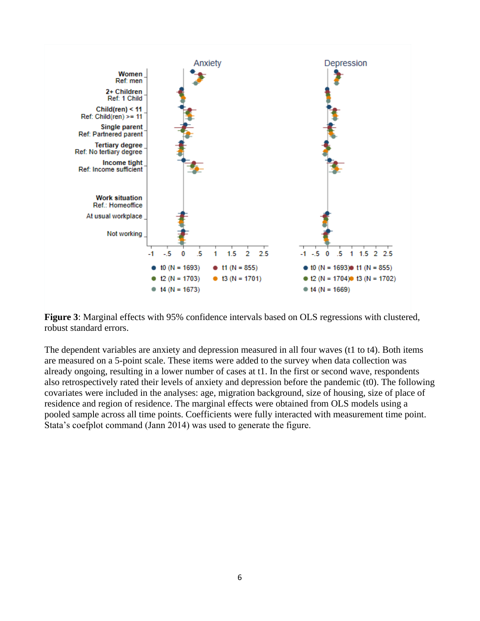

**Figure 3**: Marginal effects with 95% confidence intervals based on OLS regressions with clustered, robust standard errors.

The dependent variables are anxiety and depression measured in all four waves (t1 to t4). Both items are measured on a 5-point scale. These items were added to the survey when data collection was already ongoing, resulting in a lower number of cases at t1. In the first or second wave, respondents also retrospectively rated their levels of anxiety and depression before the pandemic (t0). The following covariates were included in the analyses: age, migration background, size of housing, size of place of residence and region of residence. The marginal effects were obtained from OLS models using a pooled sample across all time points. Coefficients were fully interacted with measurement time point. Stata's coefplot command (Jann 2014) was used to generate the figure.